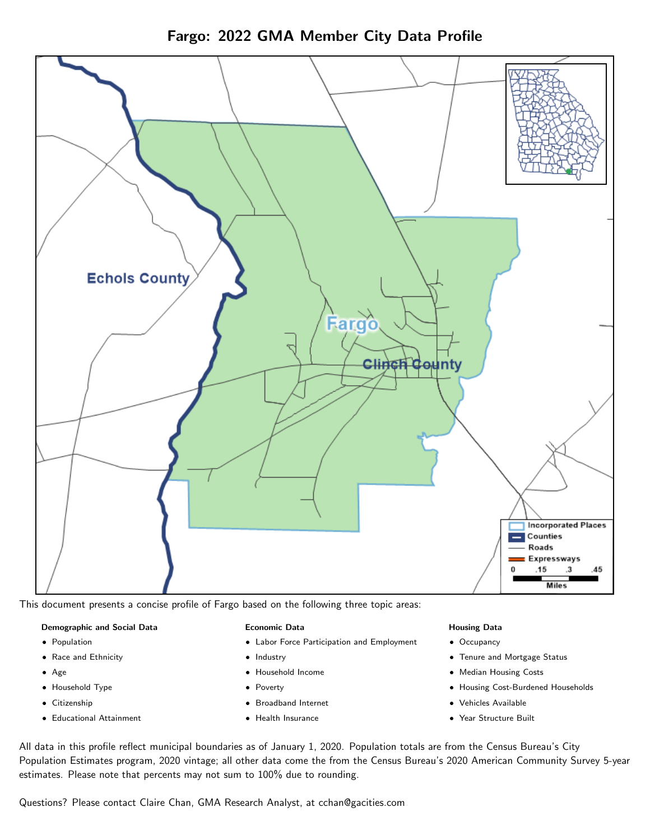

Fargo: 2022 GMA Member City Data Profile

This document presents a concise profile of Fargo based on the following three topic areas:

#### Demographic and Social Data

- **•** Population
- Race and Ethnicity
- Age
- Household Type
- **Citizenship**
- Educational Attainment

## Economic Data

- Labor Force Participation and Employment
- Industry
- Household Income
- Poverty
- Broadband Internet
- Health Insurance

## Housing Data

- Occupancy
- Tenure and Mortgage Status
- Median Housing Costs
- Housing Cost-Burdened Households
- Vehicles Available
- Year Structure Built

All data in this profile reflect municipal boundaries as of January 1, 2020. Population totals are from the Census Bureau's City Population Estimates program, 2020 vintage; all other data come the from the Census Bureau's 2020 American Community Survey 5-year estimates. Please note that percents may not sum to 100% due to rounding.

Questions? Please contact Claire Chan, GMA Research Analyst, at [cchan@gacities.com.](mailto:cchan@gacities.com)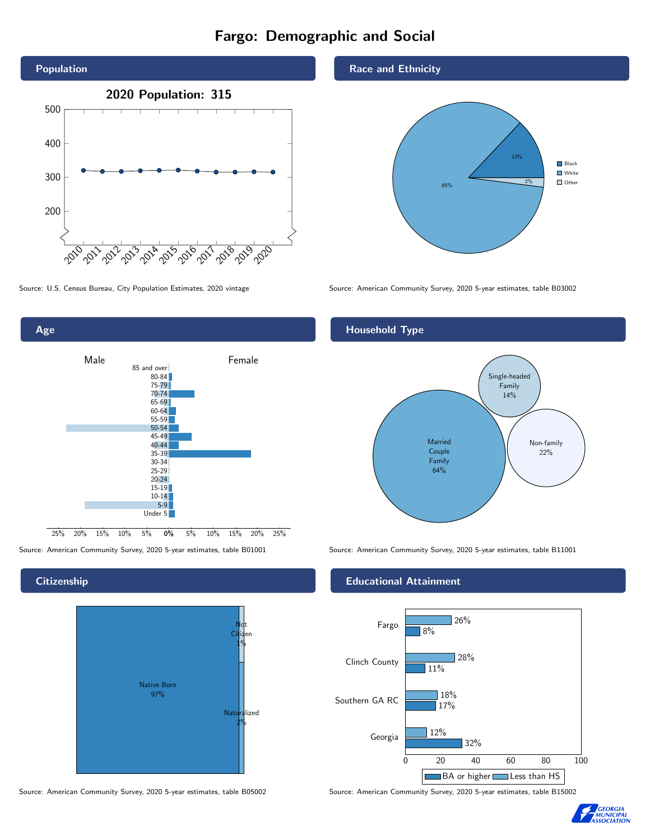# Fargo: Demographic and Social





## **Citizenship**



### Race and Ethnicity



Source: U.S. Census Bureau, City Population Estimates, 2020 vintage Source: American Community Survey, 2020 5-year estimates, table B03002

## Household Type



Source: American Community Survey, 2020 5-year estimates, table B01001 Source: American Community Survey, 2020 5-year estimates, table B11001

## Educational Attainment



Source: American Community Survey, 2020 5-year estimates, table B05002 Source: American Community Survey, 2020 5-year estimates, table B15002

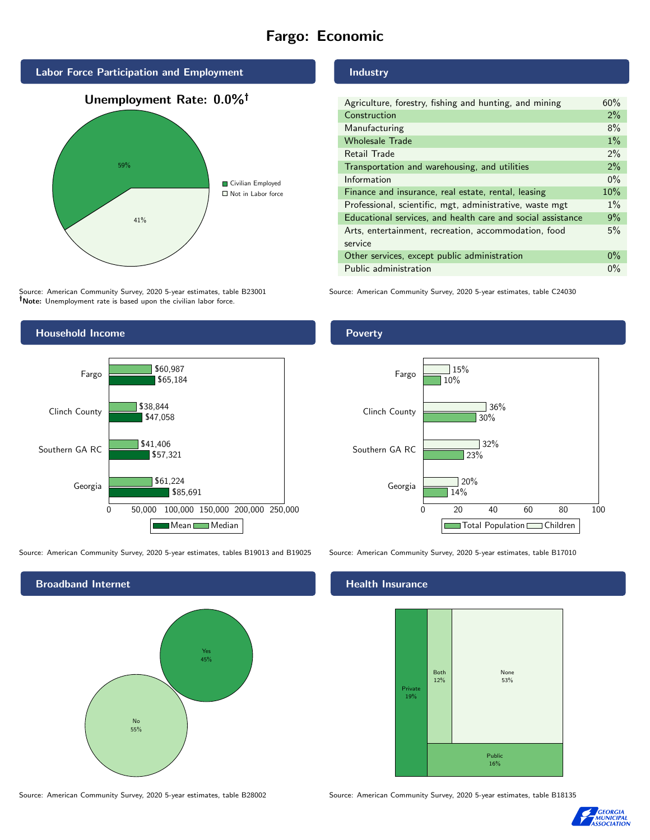# Fargo: Economic



Source: American Community Survey, 2020 5-year estimates, table B23001 Note: Unemployment rate is based upon the civilian labor force.



Source: American Community Survey, 2020 5-year estimates, tables B19013 and B19025 Source: American Community Survey, 2020 5-year estimates, table B17010



#### Source: American Community Survey, 2020 5-year estimates, table B28002 Source: American Community Survey, 2020 5-year estimates, table B18135

Industry

| Agriculture, forestry, fishing and hunting, and mining      | 60%   |
|-------------------------------------------------------------|-------|
| Construction                                                | $2\%$ |
| Manufacturing                                               | 8%    |
| <b>Wholesale Trade</b>                                      | $1\%$ |
| Retail Trade                                                | $2\%$ |
| Transportation and warehousing, and utilities               | 2%    |
| Information                                                 | $0\%$ |
| Finance and insurance, real estate, rental, leasing         | 10%   |
| Professional, scientific, mgt, administrative, waste mgt    | $1\%$ |
| Educational services, and health care and social assistance | 9%    |
| Arts, entertainment, recreation, accommodation, food        | 5%    |
| service                                                     |       |
| Other services, except public administration                | $0\%$ |
| Public administration                                       | $0\%$ |

Source: American Community Survey, 2020 5-year estimates, table C24030





#### Health Insurance